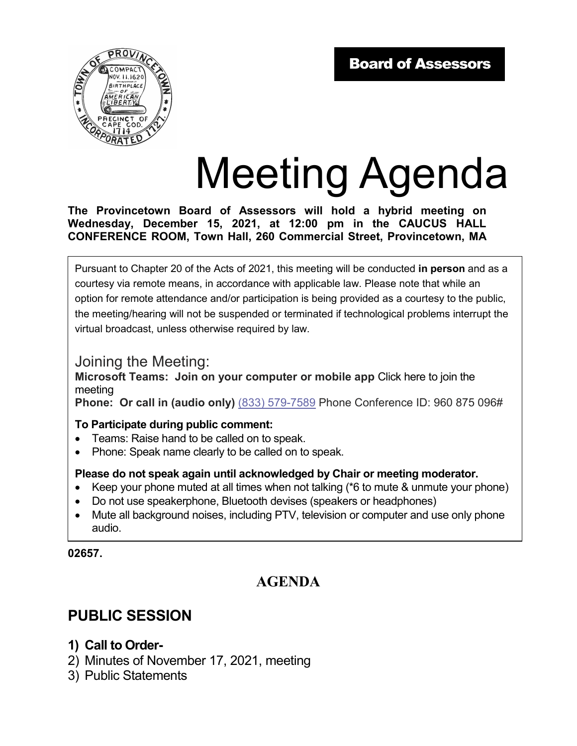

# Meeting Agenda

**The Provincetown Board of Assessors will hold a hybrid meeting on Wednesday, December 15, 2021, at 12:00 pm in the CAUCUS HALL CONFERENCE ROOM, Town Hall, 260 Commercial Street, Provincetown, MA** 

Pursuant to Chapter 20 of the Acts of 2021, this meeting will be conducted **in person** and as a courtesy via remote means, in accordance with applicable law. Please note that while an option for remote attendance and/or participation is being provided as a courtesy to the public, the meeting/hearing will not be suspended or terminated if technological problems interrupt the virtual broadcast, unless otherwise required by law.

### Joining the Meeting:

**Microsoft Teams: Join on your computer or mobile app** Click here to join the meeting

**Phone: Or call in (audio only)** (833) 579-7589 Phone Conference ID: 960 875 096#

#### **To Participate during public comment:**

- Teams: Raise hand to be called on to speak.
- Phone: Speak name clearly to be called on to speak.

#### **Please do not speak again until acknowledged by Chair or meeting moderator.**

- Keep your phone muted at all times when not talking (\*6 to mute & unmute your phone)
- Do not use speakerphone, Bluetooth devises (speakers or headphones)
- Mute all background noises, including PTV, television or computer and use only phone audio.

#### **02657.**

# **AGENDA**

# **PUBLIC SESSION**

- **1) Call to Order-**
- 2) Minutes of November 17, 2021, meeting
- 3) Public Statements